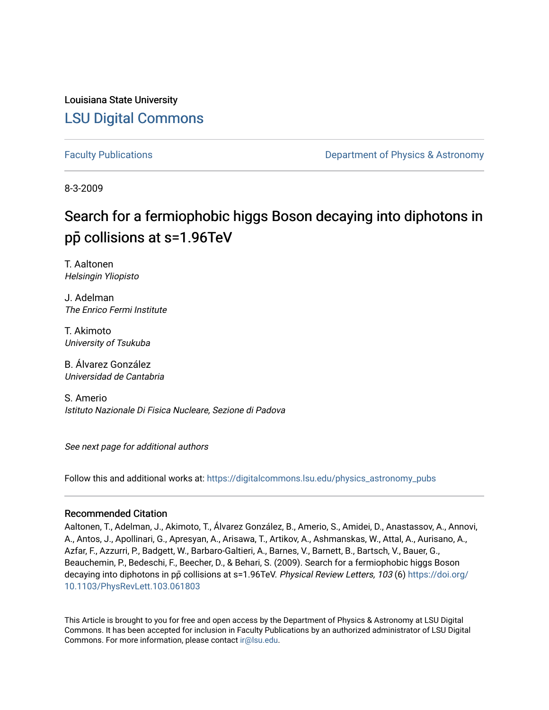Louisiana State University [LSU Digital Commons](https://digitalcommons.lsu.edu/)

[Faculty Publications](https://digitalcommons.lsu.edu/physics_astronomy_pubs) **Example 2** Constant Department of Physics & Astronomy

8-3-2009

### Search for a fermiophobic higgs Boson decaying into diphotons in pp**̄** collisions at s=1.96TeV

T. Aaltonen Helsingin Yliopisto

J. Adelman The Enrico Fermi Institute

T. Akimoto University of Tsukuba

B. Álvarez González Universidad de Cantabria

S. Amerio Istituto Nazionale Di Fisica Nucleare, Sezione di Padova

See next page for additional authors

Follow this and additional works at: [https://digitalcommons.lsu.edu/physics\\_astronomy\\_pubs](https://digitalcommons.lsu.edu/physics_astronomy_pubs?utm_source=digitalcommons.lsu.edu%2Fphysics_astronomy_pubs%2F2445&utm_medium=PDF&utm_campaign=PDFCoverPages) 

#### Recommended Citation

Aaltonen, T., Adelman, J., Akimoto, T., Álvarez González, B., Amerio, S., Amidei, D., Anastassov, A., Annovi, A., Antos, J., Apollinari, G., Apresyan, A., Arisawa, T., Artikov, A., Ashmanskas, W., Attal, A., Aurisano, A., Azfar, F., Azzurri, P., Badgett, W., Barbaro-Galtieri, A., Barnes, V., Barnett, B., Bartsch, V., Bauer, G., Beauchemin, P., Bedeschi, F., Beecher, D., & Behari, S. (2009). Search for a fermiophobic higgs Boson decaying into diphotons in pp collisions at s=1.96TeV. Physical Review Letters, 103 (6) [https://doi.org/](https://doi.org/10.1103/PhysRevLett.103.061803) [10.1103/PhysRevLett.103.061803](https://doi.org/10.1103/PhysRevLett.103.061803)

This Article is brought to you for free and open access by the Department of Physics & Astronomy at LSU Digital Commons. It has been accepted for inclusion in Faculty Publications by an authorized administrator of LSU Digital Commons. For more information, please contact [ir@lsu.edu](mailto:ir@lsu.edu).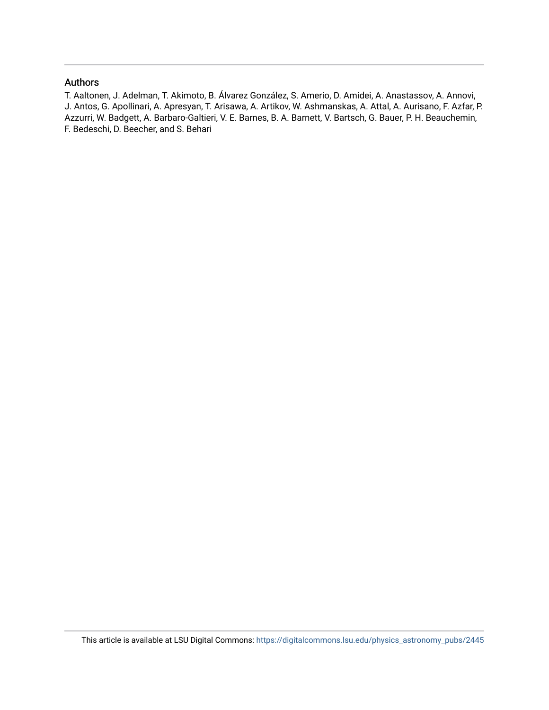#### Authors

T. Aaltonen, J. Adelman, T. Akimoto, B. Álvarez González, S. Amerio, D. Amidei, A. Anastassov, A. Annovi, J. Antos, G. Apollinari, A. Apresyan, T. Arisawa, A. Artikov, W. Ashmanskas, A. Attal, A. Aurisano, F. Azfar, P. Azzurri, W. Badgett, A. Barbaro-Galtieri, V. E. Barnes, B. A. Barnett, V. Bartsch, G. Bauer, P. H. Beauchemin, F. Bedeschi, D. Beecher, and S. Behari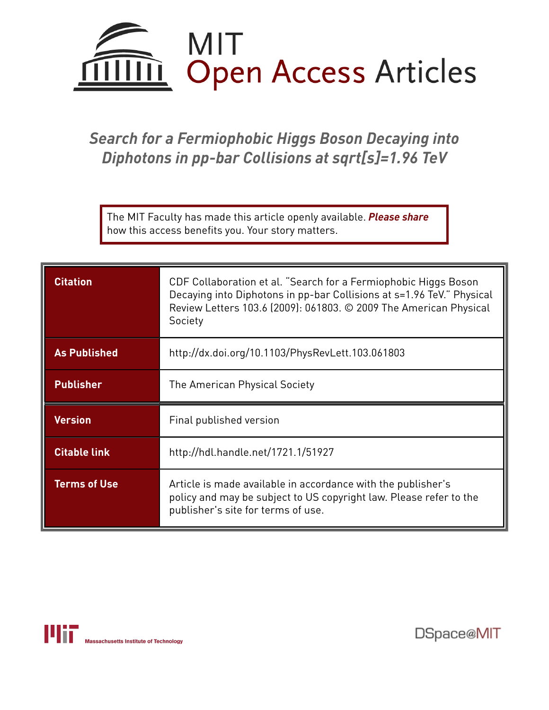

## *Search for a Fermiophobic Higgs Boson Decaying into Diphotons in pp-bar Collisions at sqrt[s]=1.96 TeV*

The MIT Faculty has made this article openly available. *[Please](https://libraries.mit.edu/forms/dspace-oa-articles.html) share* how this access benefits you. Your story matters.

| <b>Citation</b>     | CDF Collaboration et al. "Search for a Fermiophobic Higgs Boson<br>Decaying into Diphotons in pp-bar Collisions at s=1.96 TeV." Physical<br>Review Letters 103.6 (2009): 061803. © 2009 The American Physical<br>Society |  |  |  |  |
|---------------------|--------------------------------------------------------------------------------------------------------------------------------------------------------------------------------------------------------------------------|--|--|--|--|
| <b>As Published</b> | http://dx.doi.org/10.1103/PhysRevLett.103.061803                                                                                                                                                                         |  |  |  |  |
| <b>Publisher</b>    | The American Physical Society                                                                                                                                                                                            |  |  |  |  |
|                     |                                                                                                                                                                                                                          |  |  |  |  |
| <b>Version</b>      | Final published version                                                                                                                                                                                                  |  |  |  |  |
| <b>Citable link</b> | http://hdl.handle.net/1721.1/51927                                                                                                                                                                                       |  |  |  |  |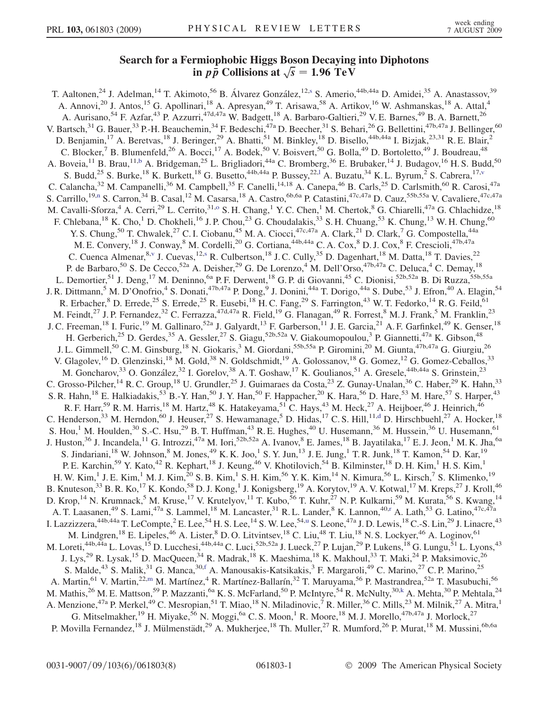# Search for a Fermiophobic Higgs Boson Decaying into Diphotons<br>
in  $p\bar{p}$  Collisions at  $\sqrt{s} = 1.96 \text{ TeV}$

<span id="page-3-10"></span><span id="page-3-9"></span><span id="page-3-8"></span><span id="page-3-7"></span><span id="page-3-6"></span><span id="page-3-5"></span><span id="page-3-4"></span><span id="page-3-3"></span><span id="page-3-2"></span><span id="page-3-1"></span><span id="page-3-0"></span>T. Aaltonen,<sup>24</sup> J. Adelman,<sup>14</sup> T. Akimoto,<sup>56</sup> B. Álvarez González,<sup>12[,s](#page-9-0)</sup> S. Amerio,<sup>44b,44a</sup> D. Amidei,<sup>35</sup> A. Anastassov,<sup>39</sup> A. Annovi,<sup>20</sup> J. Antos,<sup>15</sup> G. Apollinari,<sup>18</sup> A. Apresyan,<sup>49</sup> T. Arisawa,<sup>58</sup> A. Artikov,<sup>16</sup> W. Ashmanskas,<sup>18</sup> A. Attal,<sup>4</sup> A. Aurisano,<sup>54</sup> F. Azfar,<sup>43</sup> P. Azzurri,<sup>47d,47a</sup> W. Badgett,<sup>18</sup> A. Barbaro-Galtieri,<sup>29</sup> V. E. Barnes,<sup>49</sup> B. A. Barnett,<sup>26</sup> V. Bartsch,<sup>31</sup> G. Bauer,<sup>33</sup> P.-H. Beauchemin,<sup>34</sup> F. Bedeschi,<sup>47a</sup> D. Beecher,<sup>31</sup> S. Behari,<sup>26</sup> G. Bellettini,<sup>47b,47a</sup> J. Bellinger,<sup>60</sup> D. Benjamin,<sup>17</sup> A. Beretvas,<sup>18</sup> J. Beringer,<sup>29</sup> A. Bhatti,<sup>51</sup> M. Binkley,<sup>18</sup> D. Bisello,<sup>44b,44a</sup> I. Bizjak,<sup>23,31</sup> R. E. Blair,<sup>2</sup> C. Blocker,<sup>7</sup> B. Blumenfeld,<sup>26</sup> A. Bocci,<sup>17</sup> A. Bodek,<sup>50</sup> V. Boisvert,<sup>50</sup> G. Bolla,<sup>49</sup> D. Bortoletto,<sup>49</sup> J. Boudreau,<sup>48</sup> A. Boveia,<sup>11</sup> B. Brau,<sup>11[,b](#page-9-1)</sup> A. Bridgeman,<sup>25</sup> L. Brigliadori,<sup>44a</sup> C. Bromberg,<sup>36</sup> E. Brubaker,<sup>14</sup> J. Budagov,<sup>16</sup> H. S. Budd,<sup>50</sup> S. Budd,<sup>25</sup> S. Burke,<sup>18</sup> K. Burkett,<sup>18</sup> G. Busetto,<sup>44b,44a</sup> P. Bussey,<sup>22,1</sup> A. Buzatu,<sup>34</sup> K. L. Byrum,<sup>2</sup> S. Cabrera,<sup>17,[v](#page-9-3)</sup> C. Calancha,<sup>32</sup> M. Campanelli,<sup>36</sup> M. Campbell,<sup>35</sup> F. Canelli,<sup>14,18</sup> A. Canepa,<sup>46</sup> B. Carls,<sup>25</sup> D. Carlsmith,<sup>60</sup> R. Carosi,<sup>47a</sup> S. Carrillo,<sup>19[,n](#page-9-4)</sup> S. Carron,<sup>34</sup> B. Casal,<sup>12</sup> M. Casarsa,<sup>18</sup> A. Castro,<sup>6b,6a</sup> P. Catastini,<sup>47c,47a</sup> D. Cauz,<sup>55b,55a</sup> V. Cavaliere,<sup>47c,47a</sup> M. Cavalli-Sf[o](#page-9-5)rza,<sup>4</sup> A. Cerri,<sup>29</sup> L. Cerrito,<sup>31,o</sup> S. H. Chang,<sup>1</sup> Y. C. Chen,<sup>1</sup> M. Chertok,<sup>8</sup> G. Chiarelli,<sup>47a</sup> G. Chlachidze,<sup>18</sup> F. Chlebana,<sup>18</sup> K. Cho,<sup>1</sup> D. Chokheli,<sup>16</sup> J. P. Chou,<sup>23</sup> G. Choudalakis,<sup>33</sup> S. H. Chuang,<sup>53</sup> K. Chung,<sup>13</sup> W. H. Chung,<sup>60</sup> Y. S. Chung,<sup>50</sup> T. Chwalek,<sup>27</sup> C. I. Ciobanu,<sup>45</sup> M. A. Ciocci,<sup>47c,47a</sup> A. Clark,<sup>21</sup> D. Clark,<sup>7</sup> G. Compostella,<sup>44a</sup> M. E. Convery,<sup>18</sup> J. Conway,<sup>8</sup> M. Cordelli,<sup>20</sup> G. Cortiana,<sup>44b,44a</sup> C. A. Cox,<sup>8</sup> D. J. Cox,<sup>8</sup> F. Crescioli,<sup>47b,47a</sup> C. Cuenca Almenar,<sup>8,[v](#page-9-3)</sup> J. Cuevas,<sup>12[,s](#page-9-0)</sup> R. Culbertson,<sup>18</sup> J. C. Cully,<sup>35</sup> D. Dagenhart,<sup>18</sup> M. Datta,<sup>18</sup> T. Davies,<sup>22</sup> P. de Barbaro,<sup>50</sup> S. De Cecco,<sup>52a</sup> A. Deisher,<sup>29</sup> G. De Lorenzo,<sup>4</sup> M. Dell'Orso,<sup>47b,47a</sup> C. Deluca,<sup>4</sup> C. Demay,<sup>18</sup> L. Demortier,<sup>51</sup> J. Deng,<sup>17</sup> M. Deninno,<sup>6a</sup> P. F. Derwent,<sup>18</sup> G. P. di Giovanni,<sup>45</sup> C. Dionisi,<sup>52b,52a</sup> B. Di Ruzza,<sup>55b,55a</sup> J. R. Dittmann,<sup>5</sup> M. D'Onofrio,<sup>4</sup> S. Donati,<sup>47b,47a</sup> P. Dong,<sup>9</sup> J. Donini,<sup>44a</sup> T. Dorigo,<sup>44a</sup> S. Dube,<sup>53</sup> J. Efron,<sup>40</sup> A. Elagin,<sup>54</sup> R. Erbacher,  $8$  D. Errede,  $25$  S. Errede,  $25$  R. Eusebi,  $^{18}$  H. C. Fang,  $^{29}$  S. Farrington,  $^{43}$  W. T. Fedorko,  $^{14}$  R. G. Feild,  $^{61}$ M. Feindt,<sup>27</sup> J. P. Fernandez,<sup>32</sup> C. Ferrazza,<sup>47d,47a</sup> R. Field,<sup>19</sup> G. Flanagan,<sup>49</sup> R. Forrest,<sup>8</sup> M. J. Frank,<sup>5</sup> M. Franklin,<sup>23</sup> J. C. Freeman,<sup>18</sup> I. Furic,<sup>19</sup> M. Gallinaro,<sup>52a</sup> J. Galyardt,<sup>13</sup> F. Garberson,<sup>11</sup> J. E. Garcia,<sup>21</sup> A. F. Garfinkel,<sup>49</sup> K. Genser,<sup>18</sup> H. Gerberich,<sup>25</sup> D. Gerdes,<sup>35</sup> A. Gessler,<sup>27</sup> S. Giagu,<sup>52b,52a</sup> V. Giakoumopoulou,<sup>3</sup> P. Giannetti,<sup>47a</sup> K. Gibson,<sup>48</sup> J. L. Gimmell,<sup>50</sup> C. M. Ginsburg,<sup>18</sup> N. Giokaris,<sup>3</sup> M. Giordani,<sup>55b,55a</sup> P. Giromini,<sup>20</sup> M. Giunta,<sup>47b,47a</sup> G. Giurgiu,<sup>26</sup> V. Glagolev,<sup>16</sup> D. Glenzinski,<sup>18</sup> M. Gold,<sup>38</sup> N. Goldschmidt,<sup>19</sup> A. Golossanov,<sup>18</sup> G. Gomez,<sup>12</sup> G. Gomez-Ceballos,<sup>33</sup> M. Goncharov,<sup>33</sup> O. González,<sup>32</sup> I. Gorelov,<sup>38</sup> A. T. Goshaw,<sup>17</sup> K. Goulianos,<sup>51</sup> A. Gresele,<sup>44b,44a</sup> S. Grinstein,<sup>23</sup> C. Grosso-Pilcher, <sup>14</sup> R. C. Group, <sup>18</sup> U. Grundler, <sup>25</sup> J. Guimaraes da Costa, <sup>23</sup> Z. Gunay-Unalan, <sup>36</sup> C. Haber, <sup>29</sup> K. Hahn, <sup>33</sup> S. R. Hahn,<sup>18</sup> E. Halkiadakis,<sup>53</sup> B.-Y. Han,<sup>50</sup> J. Y. Han,<sup>50</sup> F. Happacher,<sup>20</sup> K. Hara,<sup>56</sup> D. Hare,<sup>53</sup> M. Hare,<sup>57</sup> S. Harper,<sup>43</sup> R. F. Harr,<sup>59</sup> R. M. Harris,<sup>18</sup> M. Hartz,<sup>48</sup> K. Hatakeyama,<sup>51</sup> C. Hays,<sup>43</sup> M. Heck,<sup>27</sup> A. Heijboer,<sup>46</sup> J. Heinrich,<sup>46</sup> C. Henderson,<sup>33</sup> M. Herndon,<sup>60</sup> J. Heuser,<sup>27</sup> S. Hewamanage,<sup>5</sup> D. Hidas,<sup>17</sup> C. S. Hill,<sup>11[,d](#page-9-6)</sup> D. Hirschbuehl,<sup>27</sup> A. Hocker,<sup>18</sup> S. Hou,<sup>1</sup> M. Houlden,<sup>30</sup> S.-C. Hsu,<sup>29</sup> B. T. Huffman,<sup>43</sup> R. E. Hughes,<sup>40</sup> U. Husemann,<sup>36</sup> M. Hussein,<sup>36</sup> U. Husemann,<sup>61</sup> J. Huston,<sup>36</sup> J. Incandela,<sup>11</sup> G. Introzzi,<sup>47a</sup> M. Iori,<sup>52b,52a</sup> A. Ivanov,<sup>8</sup> E. James,<sup>18</sup> B. Jayatilaka,<sup>17</sup> E. J. Jeon,<sup>1</sup> M. K. Jha,<sup>6a</sup> S. Jindariani,<sup>18</sup> W. Johnson,<sup>8</sup> M. Jones,<sup>49</sup> K. K. Joo,<sup>1</sup> S. Y. Jun,<sup>13</sup> J. E. Jung,<sup>1</sup> T. R. Junk,<sup>18</sup> T. Kamon,<sup>54</sup> D. Kar,<sup>19</sup> P. E. Karchin,<sup>59</sup> Y. Kato,<sup>42</sup> R. Kephart,<sup>18</sup> J. Keung,<sup>46</sup> V. Khotilovich,<sup>54</sup> B. Kilminster,<sup>18</sup> D. H. Kim,<sup>1</sup> H. S. Kim,<sup>1</sup> H. W. Kim,<sup>1</sup> J. E. Kim,<sup>1</sup> M. J. Kim,<sup>20</sup> S. B. Kim,<sup>1</sup> S. H. Kim,<sup>56</sup> Y. K. Kim,<sup>14</sup> N. Kimura,<sup>56</sup> L. Kirsch,<sup>7</sup> S. Klimenko,<sup>19</sup> B. Knuteson,<sup>33</sup> B. R. Ko,<sup>17</sup> K. Kondo,<sup>58</sup> D. J. Kong,<sup>1</sup> J. Konigsberg,<sup>19</sup> A. Korytov,<sup>19</sup> A. V. Kotwal,<sup>17</sup> M. Kreps,<sup>27</sup> J. Kroll,<sup>46</sup> D. Krop,<sup>14</sup> N. Krumnack,<sup>5</sup> M. Kruse,<sup>17</sup> V. Krutelyov,<sup>11</sup> T. Kubo,<sup>56</sup> T. Kuhr,<sup>27</sup> N. P. Kulkarni,<sup>59</sup> M. Kurata,<sup>56</sup> S. Kwang,<sup>14</sup> A. T. Laasanen,<sup>49</sup> S. Lami,<sup>47a</sup> S. Lammel,<sup>18</sup> M. Lancaster,<sup>31</sup> R. L. Lander,<sup>8</sup> K. Lannon,<sup>40[,r](#page-9-7)</sup> A. Lath,<sup>53</sup> G. Latino,<sup>47c,47a</sup> I. Lazzizzera,  $44b,44a$  T. LeCompte,  $^2$  E. Lee,  $54$  H. S. Lee,  $^{14}$  S. W. Lee,  $^{54,u}$  $^{54,u}$  $^{54,u}$  S. Leone,  $47a$  J. D. Lewis,  $^{18}$  C.-S. Lin,  $^{29}$  J. Linacre,  $^{43}$ M. Lindgren,<sup>18</sup> E. Lipeles,<sup>46</sup> A. Lister,<sup>8</sup> D. O. Litvintsev,<sup>18</sup> C. Liu,<sup>48</sup> T. Liu,<sup>18</sup> N. S. Lockyer,<sup>46</sup> A. Loginov,<sup>61</sup> M. Loreti,<sup>44b,44a</sup> L. Lovas,<sup>15</sup> D. Lucchesi,<sup>44b,44a</sup> C. Luci,<sup>52b,52a</sup> J. Lueck,<sup>27</sup> P. Lujan,<sup>29</sup> P. Lukens,<sup>18</sup> G. Lungu,<sup>51</sup> L. Lyons,<sup>43</sup> J. Lys,<sup>29</sup> R. Lysak,<sup>15</sup> D. MacQueen,<sup>34</sup> R. Madrak,<sup>18</sup> K. Maeshima,<sup>18</sup> K. Makhoul,<sup>33</sup> T. Maki,<sup>24</sup> P. Maksimovic,<sup>26</sup> S. Malde,<sup>43</sup> S. Malik,<sup>31</sup> G. Manca,<sup>30,[f](#page-9-9)</sup> A. Manousakis-Katsikakis,<sup>3</sup> F. Margaroli,<sup>49</sup> C. Marino,<sup>27</sup> C. P. Marino,<sup>25</sup> A. Martin,<sup>61</sup> V. Martin,<sup>22,[m](#page-9-10)</sup> M. Martínez,<sup>4</sup> R. Martínez-Ballarín,<sup>32</sup> T. Maruyama,<sup>56</sup> P. Mastrandrea,<sup>52a</sup> T. Masubuchi,<sup>56</sup> M. Mathis,<sup>26</sup> M. E. Mattson,<sup>59</sup> P. Mazzanti,<sup>6a</sup> K. S. McFarland,<sup>50</sup> P. McIntyre,<sup>54</sup> R. McNulty,<sup>30,[k](#page-9-11)</sup> A. Mehta,<sup>30</sup> P. Mehtala,<sup>24</sup> A. Menzione,<sup>47a</sup> P. Merkel,<sup>49</sup> C. Mesropian,<sup>51</sup> T. Miao,<sup>18</sup> N. Miladinovic,<sup>7</sup> R. Miller,<sup>36</sup> C. Mills,<sup>23</sup> M. Milnik,<sup>27</sup> A. Mitra,<sup>1</sup> G. Mitselmakher,<sup>19</sup> H. Miyake,<sup>56</sup> N. Moggi,<sup>6a</sup> C. S. Moon,<sup>1</sup> R. Moore,<sup>18</sup> M. J. Morello,<sup>47b,47a</sup> J. Morlock,<sup>27</sup> P. Movilla Fernandez,<sup>18</sup> J. Mülmenstädt,<sup>29</sup> A. Mukherjee,<sup>18</sup> Th. Muller,<sup>27</sup> R. Mumford,<sup>26</sup> P. Murat,<sup>18</sup> M. Mussini,<sup>6b,6a</sup>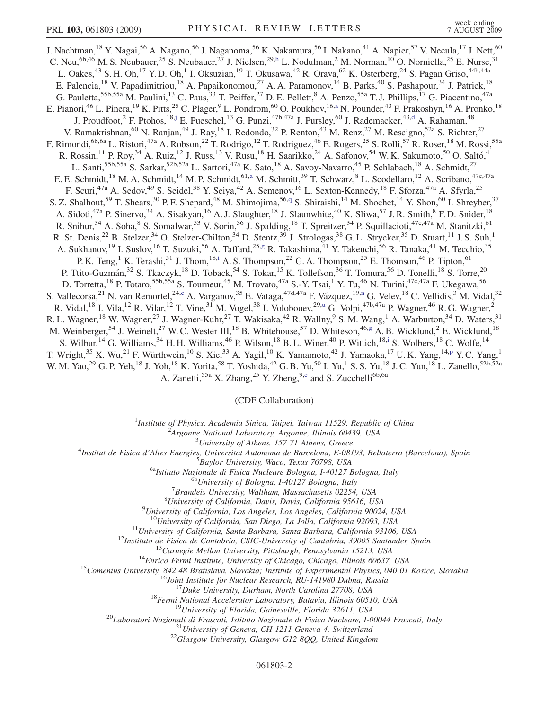<span id="page-4-8"></span><span id="page-4-6"></span><span id="page-4-4"></span><span id="page-4-0"></span>J. Nachtman,<sup>18</sup> Y. Nagai,<sup>56</sup> A. Nagano,<sup>56</sup> J. Naganoma,<sup>56</sup> K. Nakamura,<sup>56</sup> I. Nakano,<sup>41</sup> A. Napier,<sup>57</sup> V. Necula,<sup>17</sup> J. Nett,<sup>60</sup> C. Neu,<sup>6b,46</sup> M. S. Neubauer,<sup>25</sup> S. Neubauer,<sup>27</sup> J. Nielsen,<sup>29[,h](#page-9-12)</sup> L. Nodulman,<sup>2</sup> M. Norman,<sup>10</sup> O. Norniella,<sup>25</sup> E. Nurse,<sup>31</sup> L. Oakes,<sup>43</sup> S. H. Oh,<sup>17</sup> Y. D. Oh,<sup>1</sup> I. Oksuzian,<sup>19</sup> T. Okusawa,<sup>42</sup> R. Orava,<sup>62</sup> K. Osterberg,<sup>24</sup> S. Pagan Griso,<sup>44b,44a</sup> E. Palencia,<sup>18</sup> V. Papadimitriou,<sup>18</sup> A. Papaikonomou,<sup>27</sup> A. A. Paramonov,<sup>14</sup> B. Parks,<sup>40</sup> S. Pashapour,<sup>34</sup> J. Patrick,<sup>18</sup> G. Pauletta,<sup>55b,55a</sup> M. Paulini,<sup>13</sup> C. Paus,<sup>33</sup> T. Peiffer,<sup>27</sup> D. E. Pellett,<sup>8</sup> A. Penzo,<sup>55a</sup> T. J. Phillips,<sup>17</sup> G. Piacentino,<sup>47a</sup> E. Pi[a](#page-9-13)nori,<sup>46</sup> L. Pinera,<sup>19</sup> K. Pitts,<sup>25</sup> C. Plager,<sup>9</sup> L. Pondrom,<sup>60</sup> O. Poukhov,<sup>16,a</sup> N. Pounder,<sup>43</sup> F. Prakoshyn,<sup>16</sup> A. Pronko,<sup>18</sup> J. Proudfoot,<sup>2</sup> F. Ptohos,<sup>18[,j](#page-9-14)</sup> E. Pueschel,<sup>13</sup> G. Punzi,<sup>47b,47a</sup> J. Pursley,<sup>60</sup> J. Rademacker,<sup>43[,d](#page-9-6)</sup> A. Rahaman,<sup>48</sup> V. Ramakrishnan,<sup>60</sup> N. Ranjan,<sup>49</sup> J. Ray,<sup>18</sup> I. Redondo,<sup>32</sup> P. Renton,<sup>43</sup> M. Renz,<sup>27</sup> M. Rescigno,<sup>52a</sup> S. Richter,<sup>27</sup> F. Rimondi, <sup>6b,6a</sup> L. Ristori, <sup>47a</sup> A. Robson, <sup>22</sup> T. Rodrigo, <sup>12</sup> T. Rodriguez, <sup>46</sup> E. Rogers, <sup>25</sup> S. Rolli, <sup>57</sup> R. Roser, <sup>18</sup> M. Rossi, <sup>55a</sup> R. Rossin,<sup>11</sup> P. Roy,<sup>34</sup> A. Ruiz,<sup>12</sup> J. Russ,<sup>13</sup> V. Rusu,<sup>18</sup> H. Saarikko,<sup>24</sup> A. Safonov,<sup>54</sup> W. K. Sakumoto,<sup>50</sup> O. Saltó,<sup>4</sup> L. Santi,<sup>55b,55a</sup> S. Sarkar,<sup>52b,52a</sup> L. Sartori,<sup>47a</sup> K. Sato,<sup>18</sup> A. Savoy-Navarro,<sup>45</sup> P. Schlabach,<sup>18</sup> A. Schmidt,<sup>27</sup> E. E. Schmidt,<sup>18</sup> M. A. Schmidt,<sup>14</sup> M. P. Schmidt,<sup>61,[a](#page-9-13)</sup> M. Schmitt,<sup>39</sup> T. Schwarz,<sup>8</sup> L. Scodellaro,<sup>12</sup> A. Scribano,<sup>47c,47a</sup> F. Scuri,<sup>47a</sup> A. Sedov,<sup>49</sup> S. Seidel,<sup>38</sup> Y. Seiya,<sup>42</sup> A. Semenov,<sup>16</sup> L. Sexton-Kennedy,<sup>18</sup> F. Sforza,<sup>47a</sup> A. Sfyrla,<sup>25</sup> S. Z. Shalhout,<sup>59</sup> T. Shears,<sup>30</sup> P. F. Shepard,<sup>48</sup> M. Shimojima,<sup>56,[q](#page-9-15)</sup> S. Shiraishi,<sup>14</sup> M. Shochet,<sup>14</sup> Y. Shon,<sup>60</sup> I. Shreyber,<sup>37</sup> A. Sidoti,<sup>47a</sup> P. Sinervo,<sup>34</sup> A. Sisakyan,<sup>16</sup> A. J. Slaughter,<sup>18</sup> J. Slaunwhite,<sup>40</sup> K. Sliwa,<sup>57</sup> J. R. Smith,<sup>8</sup> F. D. Snider,<sup>18</sup> R. Snihur,<sup>34</sup> A. Soha,<sup>8</sup> S. Somalwar,<sup>53</sup> V. Sorin,<sup>36</sup> J. Spalding,<sup>18</sup> T. Spreitzer,<sup>34</sup> P. Squillacioti,<sup>47c,47a</sup> M. Stanitzki,<sup>61</sup> R. St. Denis,<sup>22</sup> B. Stelzer,<sup>34</sup> O. Stelzer-Chilton,<sup>34</sup> D. Stentz,<sup>39</sup> J. Strologas,<sup>38</sup> G. L. Strycker,<sup>35</sup> D. Stuart,<sup>11</sup> J. S. Suh,<sup>1</sup> A. Sukhanov,<sup>19</sup> I. Suslov,<sup>16</sup> T. Suzuki,<sup>56</sup> A. Taffard,<sup>25,[g](#page-9-16)</sup> R. Takashima,<sup>41</sup> Y. Takeuchi,<sup>56</sup> R. Tanaka,<sup>41</sup> M. Tecchio,<sup>35</sup> P. K. Teng,<sup>1</sup> K. Terash[i](#page-9-17),<sup>51</sup> J. Thom,<sup>18,i</sup> A. S. Thompson,<sup>22</sup> G. A. Thompson,<sup>25</sup> E. Thomson,<sup>46</sup> P. Tipton,<sup>61</sup> P. Ttito-Guzmán,<sup>32</sup> S. Tkaczyk,<sup>18</sup> D. Toback,<sup>54</sup> S. Tokar,<sup>15</sup> K. Tollefson,<sup>36</sup> T. Tomura,<sup>56</sup> D. Tonelli,<sup>18</sup> S. Torre,<sup>20</sup> D. Torretta,<sup>18</sup> P. Totaro,<sup>55b,55a</sup> S. Tourneur,<sup>45</sup> M. Trovato,<sup>47a</sup> S.-Y. Tsai,<sup>1</sup> Y. Tu,<sup>46</sup> N. Turini,<sup>47c,47a</sup> F. Ukegawa,<sup>56</sup> S. Valle[c](#page-9-18)orsa,<sup>21</sup> N. va[n](#page-9-4) Remortel,<sup>24,c</sup> A. Varganov,<sup>35</sup> E. Vataga,<sup>47d,47a</sup> F. Vázquez,<sup>19,n</sup> G. Velev,<sup>18</sup> C. Vellidis,<sup>3</sup> M. Vidal,<sup>32</sup> R. Vidal,<sup>18</sup> I. Vila,<sup>12</sup> R. Vilar,<sup>12</sup> T. Vine,<sup>31</sup> M. Vogel,<sup>38</sup> I. Volobouev,<sup>29[,u](#page-9-8)</sup> G. Volpi,<sup>47b,47a</sup> P. Wagner,<sup>46</sup> R. G. Wagner,<sup>2</sup> R. L. Wagner,<sup>18</sup> W. Wagner,<sup>27</sup> J. Wagner-Kuhr,<sup>27</sup> T. Wakisaka,<sup>42</sup> R. Wallny,<sup>9</sup> S. M. Wang,<sup>1</sup> A. Warburton,<sup>34</sup> D. Waters,<sup>31</sup> M. Weinberger,<sup>54</sup> J. Weinelt,<sup>27</sup> W. C. Wester III,<sup>18</sup> B. Whitehouse,<sup>57</sup> D. Whiteson,<sup>46[,g](#page-9-16)</sup> A. B. Wicklund,<sup>2</sup> E. Wicklund,<sup>18</sup> S. Wilbur,<sup>14</sup> G. Williams,<sup>34</sup> H. H. Williams,<sup>46</sup> P. Wilson,<sup>18</sup> B. L. Winer,<sup>40</sup> P. Wittich,<sup>18[,i](#page-9-17)</sup> S. Wolbers,<sup>18</sup> C. Wolfe,<sup>14</sup> T. Wright,<su[p](#page-9-19)>35</sup> X. Wu,<sup>21</sup> F. Würthwein,<sup>10</sup> S. Xie,<sup>33</sup> A. Yagil,<sup>10</sup> K. Yamamoto,<sup>42</sup> J. Yamaoka,<sup>17</sup> U. K. Yang,<sup>14,p</sup> Y. C. Yang,<sup>1</sup> W. M. Yao,<sup>29</sup> G. P. Yeh,<sup>18</sup> J. Yoh,<sup>18</sup> K. Yorita,<sup>58</sup> T. Yoshida,<sup>42</sup> G. B. Yu,<sup>50</sup> I. Yu,<sup>1</sup> S. S. Yu,<sup>18</sup> J. C. Yun,<sup>18</sup> L. Zanello,<sup>52b,52a</sup> A. Zan[e](#page-9-20)tti,<sup>55a</sup> X. Zhang,<sup>25</sup> Y. Zheng,<sup>9,e</sup> and S. Zucchelli<sup>6b,6a</sup>

(CDF Collaboration)

<sup>1</sup>Institute of Physics, Academia Sinica, Taipei, Taiwan 11529, Republic of China<br><sup>2</sup>Argonna National Laboratory, Argonna Illinois 60430, USA

 $A$ rgonne National Laboratory, Argonne, Illinois 60439, USA<br> $3$ University of Athens, 157 71 Athens, Greece

<span id="page-4-7"></span><span id="page-4-5"></span><span id="page-4-3"></span><span id="page-4-2"></span><span id="page-4-1"></span><sup>5</sup> University of Athens, 157 71 Athens, Greece  $\frac{3}{4}$  University of Athens, 157 71 Athens, Greece

Institut de Fisica d'Altes Energies, Universitat Autonoma de Barcelona, E-08193, Bellaterra (Barcelona), Spain <sup>5</sup>

<sup>5</sup>Baylor University, Waco, Texas 76798, USA<br><sup>6a</sup>Istituto Nazionale di Fisica Nucleare Bologna, I-40127 Bologna, Italy<br><sup>6b</sup>University of Bologna, I-40127 Bologna, Italy

 ${}^{7}$ Brandeis University, Waltham, Massachusetts 02254, USA

 ${}^{8}$ University of California, Davis, Davis, California 95616, USA

 $^{9}$ University of California, Los Angeles, Los Angeles, California 90024, USA

<sup>10</sup>University of California, San Diego, La Jolla, California 92093, USA<br>
<sup>11</sup>University of California, Santa Barbara, Santa Barbara, California 93106, USA<br>
<sup>12</sup>Instituto de Fisica de Cantabria, CSIC-University of Cantabr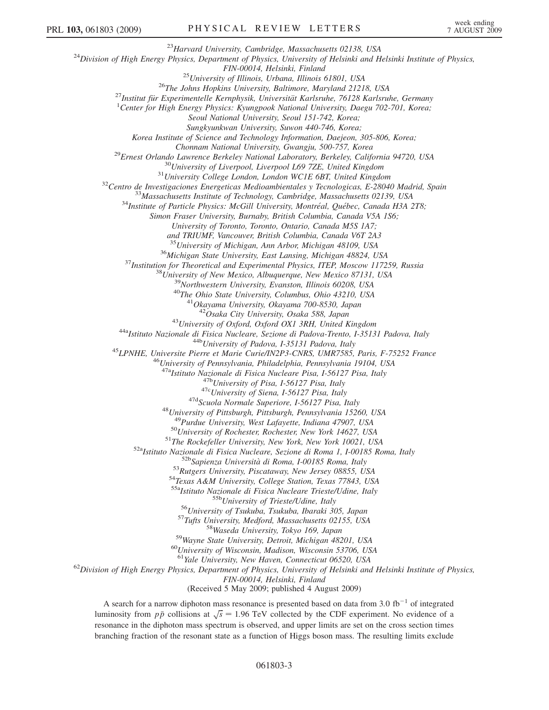<sup>23</sup>Harvard University, Cambridge, Massachusetts 02138, USA<br><sup>24</sup>Division of High Energy Physics, Department of Physics, University of Helsinki and Helsinki Institute of Physics,

FIN-00014, Helsinki, Finland<br><sup>25</sup>University of Illinois, Urbana, Illinois 61801, USA<br><sup>26</sup>The Johns Hopkins University, Baltimore, Maryland 21218, USA<br><sup>27</sup>Institut für Experimentelle Kernphysik, Universität Karlsruhe, 76128

<sup>1</sup>Center for High Energy Physics: Kyungpook National University, Daegu 702-701, Korea;

Seoul National University, Seoul 151-742, Korea;

Sungkyunkwan University, Suwon 440-746, Korea;

Korea Institute of Science and Technology Information, Daejeon, 305-806, Korea;

<sup>29</sup>Ernest Orlando Lawrence Berkeley National Laboratory, Berkeley, California 94720, USA<br><sup>30</sup>University of Liverpool, Liverpool L69 7ZE, United Kingdom<br><sup>31</sup>University College London, London WCIE 6BT, United Kingdom<br><sup>32</sup>C

Simon Fraser University, Burnaby, British Columbia, Canada V5A 1S6;

University of Toronto, Toronto, Ontario, Canada M5S 1A7;

and TRIUMF, Vancouver, British Columbia, Canada V6T 2A3

<sup>35</sup> University of Michigan, Ann Arbor, Michigan 48109, USA<br><sup>36</sup> Michigan State University, East Lansing, Michigan 48824, USA<br><sup>37</sup> Institution for Theoretical and Experimental Physics, ITEP, Moscow 117259, Russia<br><sup>38</sup> Uni

<sup>43</sup>University of Oxford, Oxford OX1 3RH, United Kingdom<br><sup>44a</sup>Istituto Nazionale di Fisica Nucleare, Sezione di Padova-Trento, I-35131 Padova, Italy<br><sup>44b</sup>University of Padova, I-35131 Padova, Italy<br><sup>45</sup>LPNHE, Universite P

<sup>47b</sup>University of Pisa, I-56127 Pisa, Italy<br><sup>47c</sup>University of Siena, I-56127 Pisa, Italy<br><sup>47d</sup>Scuola Normale Superiore, I-56127 Pisa, Italy<br><sup>48</sup>University of Pittsburgh, Pittsburgh, Pennsylvania 15260, USA<br><sup>49</sup>Purdue Un

<sup>50</sup>University of Rochester, Rochester, New York 14627, USA<br><sup>51</sup>The Rockefeller University, New York, New York 10021, USA<br><sup>52a</sup>Istituto Nazionale di Fisica Nucleare, Sezione di Roma 1, I-00185 Roma, Italy<br><sup>52b</sup>Sapienza Un

<sup>55b</sup>University of Trieste/Udine, Italy<br><sup>56</sup>University of Tsukuba, Tsukuba, Ibaraki 305, Japan<br><sup>57</sup>Tufts University, Medford, Massachusetts 02155, USA<br><sup>58</sup>Wayne State University, Detroit, Michigan 48201, USA<br><sup>60</sup>Universit

 $62$ Division of High Energy Physics, Department of Physics, University of Helsinki and Helsinki Institute of Physics,

FIN-00014, Helsinki, Finland

(Received 5 May 2009; published 4 August 2009)

A search for a narrow diphoton mass resonance is presented based on data from 3.0  $fb^{-1}$  of integrated luminosity from  $p\bar{p}$  collisions at  $\sqrt{s} = 1.96$  TeV collected by the CDF experiment. No evidence of a resonance in the diphoton mass spectrum is observed, and upper limits are set on the cross section times branching fraction of the resonant state as a function of Higgs boson mass. The resulting limits exclude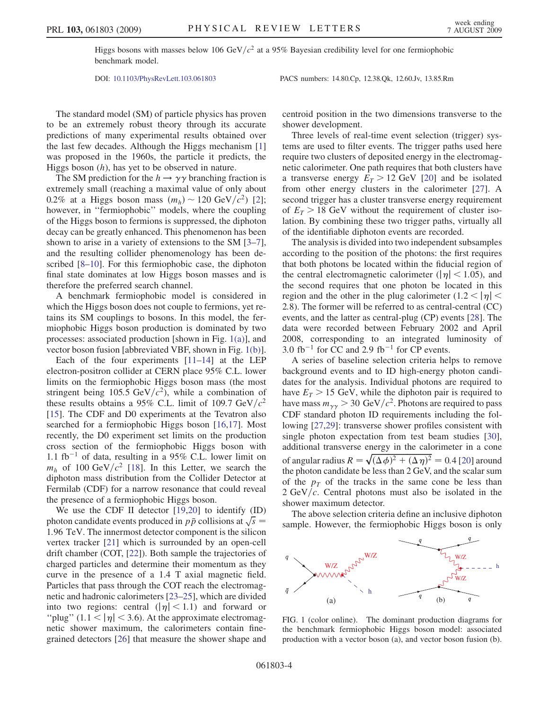Higgs bosons with masses below 106 GeV/ $c^2$  at a 95% Bayesian credibility level for one fermiophobic benchmark model.

DOI: [10.1103/PhysRevLett.103.061803](http://dx.doi.org/10.1103/PhysRevLett.103.061803) PACS numbers: 14.80.Cp, 12.38.Qk, 12.60.Jv, 13.85.Rm

The standard model (SM) of particle physics has proven to be an extremely robust theory through its accurate predictions of many experimental results obtained over the last few decades. Although the Higgs mechanism [\[1\]](#page-9-21) was proposed in the 1960s, the particle it predicts, the Higgs boson  $(h)$ , has yet to be observed in nature.

The SM prediction for the  $h \rightarrow \gamma \gamma$  branching fraction is extremely small (reaching a maximal value of only about 0.2% at a Higgs boson mass  $(m_h) \sim 120 \text{ GeV}/c^2$  [\[2\]](#page-9-22); however, in "fermiophobic" models, where the coupling of the Higgs boson to fermions is suppressed, the diphoton decay can be greatly enhanced. This phenomenon has been shown to arise in a variety of extensions to the SM [\[3](#page-9-23)–[7\]](#page-9-24), and the resulting collider phenomenology has been described [[8–](#page-9-25)[10\]](#page-9-26). For this fermiophobic case, the diphoton final state dominates at low Higgs boson masses and is therefore the preferred search channel.

A benchmark fermiophobic model is considered in which the Higgs boson does not couple to fermions, yet retains its SM couplings to bosons. In this model, the fermiophobic Higgs boson production is dominated by two processes: associated production [shown in Fig. [1\(a\)\]](#page-6-0), and vector boson fusion [abbreviated VBF, shown in Fig. [1\(b\)\]](#page-6-0).

Each of the four experiments  $[11-14]$  $[11-14]$  $[11-14]$  at the LEP electron-positron collider at CERN place 95% C.L. lower limits on the fermiophobic Higgs boson mass (the most stringent being 105.5 GeV/ $c^2$ ), while a combination of these results obtains a 95% C.L. limit of 109.7 GeV/ $c^2$ [\[15\]](#page-9-29). The CDF and D0 experiments at the Tevatron also searched for a fermiophobic Higgs boson [[16](#page-9-30),[17](#page-9-31)]. Most recently, the D0 experiment set limits on the production cross section of the fermiophobic Higgs boson with 1.1 fb<sup>-1</sup> of data, resulting in a 95% C.L. lower limit on  $m_h$  of 100 GeV/ $c^2$  [[18](#page-9-32)]. In this Letter, we search the diphoton mass distribution from the Collider Detector at Fermilab (CDF) for a narrow resonance that could reveal the presence of a fermiophobic Higgs boson.

We use the CDF II detector [[19](#page-9-33),[20](#page-9-34)] to identify (ID) photon candidate events produced in  $p\bar{p}$  collisions at  $\sqrt{s}$ 1:96 TeV. The innermost detector component is the silicon vertex tracker [[21](#page-9-35)] which is surrounded by an open-cell drift chamber (COT, [\[22\]](#page-9-36)). Both sample the trajectories of charged particles and determine their momentum as they curve in the presence of a 1.4 T axial magnetic field. Particles that pass through the COT reach the electromagnetic and hadronic calorimeters [[23](#page-9-37)[–25\]](#page-9-38), which are divided into two regions: central  $(|\eta| < 1.1)$  and forward or "plug"  $(1.1 < |\eta| < 3.6)$ . At the approximate electromagnetic shower maximum, the calorimeters contain finegrained detectors [\[26\]](#page-9-39) that measure the shower shape and centroid position in the two dimensions transverse to the shower development.

Three levels of real-time event selection (trigger) systems are used to filter events. The trigger paths used here require two clusters of deposited energy in the electromagnetic calorimeter. One path requires that both clusters have a transverse energy  $E_T > 12$  GeV [\[20\]](#page-9-34) and be isolated from other energy clusters in the calorimeter [\[27\]](#page-9-40). A second trigger has a cluster transverse energy requirement of  $E_T > 18$  GeV without the requirement of cluster isolation. By combining these two trigger paths, virtually all of the identifiable diphoton events are recorded.

The analysis is divided into two independent subsamples according to the position of the photons: the first requires that both photons be located within the fiducial region of the central electromagnetic calorimeter ( $|\eta|$  < 1.05), and the second requires that one photon be located in this region and the other in the plug calorimeter  $(1.2 < |\eta| <$ 2:8). The former will be referred to as central-central (CC) events, and the latter as central-plug (CP) events [\[28\]](#page-9-41). The data were recorded between February 2002 and April 2008, corresponding to an integrated luminosity of 3.0 fb<sup>-1</sup> for CC and 2.9 fb<sup>-1</sup> for CP events.

A series of baseline selection criteria helps to remove background events and to ID high-energy photon candidates for the analysis. Individual photons are required to have  $E_T > 15$  GeV, while the diphoton pair is required to have mass  $m_{\gamma\gamma} > 30 \text{ GeV}/c^2$ . Photons are required to pass CDF standard photon ID requirements including the following [\[27](#page-9-40)[,29\]](#page-9-42): transverse shower profiles consistent with single photon expectation from test beam studies [\[30\]](#page-9-43), additional transverse energy in the calorimeter in a cone of angular radius  $R = \sqrt{(\Delta \phi)^2 + (\Delta \eta)^2} = 0.4$  [[20](#page-9-34)] around the photon candidate be less than 2 GeV, and the scalar sum of the  $p<sub>T</sub>$  of the tracks in the same cone be less than  $2 \text{ GeV}/c$ . Central photons must also be isolated in the shower maximum detector.

The above selection criteria define an inclusive diphoton sample. However, the fermiophobic Higgs boson is only



<span id="page-6-0"></span>FIG. 1 (color online). The dominant production diagrams for the benchmark fermiophobic Higgs boson model: associated production with a vector boson (a), and vector boson fusion (b).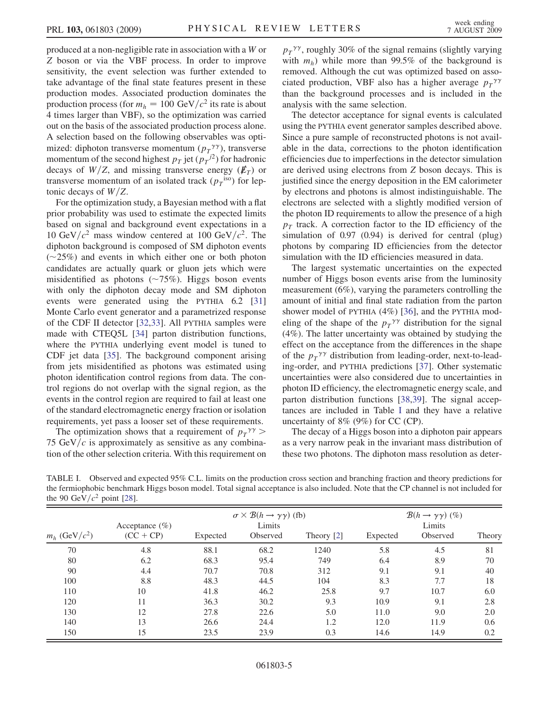produced at a non-negligible rate in association with a W or Z boson or via the VBF process. In order to improve sensitivity, the event selection was further extended to take advantage of the final state features present in these production modes. Associated production dominates the production process (for  $m_h = 100 \text{ GeV}/c^2$  its rate is about 4 times larger than VBF), so the optimization was carried out on the basis of the associated production process alone. A selection based on the following observables was optimized: diphoton transverse momentum  $(p_T^{\gamma\gamma})$ , transverse momentum of the second highest  $p_T$  jet  $(p_T)^2$  for hadronic decays of  $W/Z$ , and missing transverse energy ( $E_T$ ) or transverse momentum of an isolated track  $(p_T^{\text{iso}})$  for leptonic decays of  $W/Z$ .

For the optimization study, a Bayesian method with a flat prior probability was used to estimate the expected limits based on signal and background event expectations in a 10 GeV/ $c^2$  mass window centered at 100 GeV/ $c^2$ . The diphoton background is composed of SM diphoton events  $(\sim 25\%)$  and events in which either one or both photon candidates are actually quark or gluon jets which were misidentified as photons  $(\sim 75\%)$ . Higgs boson events with only the diphoton decay mode and SM diphoton events were generated using the PYTHIA 6.2 [\[31\]](#page-10-0) Monte Carlo event generator and a parametrized response of the CDF II detector [\[32](#page-10-1)[,33\]](#page-10-2). All PYTHIA samples were made with CTEQ5L [\[34](#page-10-3)] parton distribution functions, where the PYTHIA underlying event model is tuned to CDF jet data [\[35\]](#page-10-4). The background component arising from jets misidentified as photons was estimated using photon identification control regions from data. The control regions do not overlap with the signal region, as the events in the control region are required to fail at least one of the standard electromagnetic energy fraction or isolation requirements, yet pass a looser set of these requirements.

The optimization shows that a requirement of  $p_T^{\gamma\gamma}$  > 75 GeV/ $c$  is approximately as sensitive as any combination of the other selection criteria. With this requirement on

 $p_T^{\gamma\gamma}$ , roughly 30% of the signal remains (slightly varying with  $m_h$ ) while more than 99.5% of the background is removed. Although the cut was optimized based on associated production, VBF also has a higher average  $p_T^{\gamma\gamma}$ than the background processes and is included in the analysis with the same selection.

The detector acceptance for signal events is calculated using the PYTHIA event generator samples described above. Since a pure sample of reconstructed photons is not available in the data, corrections to the photon identification efficiencies due to imperfections in the detector simulation are derived using electrons from Z boson decays. This is justified since the energy deposition in the EM calorimeter by electrons and photons is almost indistinguishable. The electrons are selected with a slightly modified version of the photon ID requirements to allow the presence of a high  $p_T$  track. A correction factor to the ID efficiency of the simulation of 0.97 (0.94) is derived for central (plug) photons by comparing ID efficiencies from the detector simulation with the ID efficiencies measured in data.

The largest systematic uncertainties on the expected number of Higgs boson events arise from the luminosity measurement (6%), varying the parameters controlling the amount of initial and final state radiation from the parton shower model of PYTHIA (4%) [\[36\]](#page-10-5), and the PYTHIA modeling of the shape of the  $p_T^{\gamma\gamma}$  distribution for the signal (4%). The latter uncertainty was obtained by studying the effect on the acceptance from the differences in the shape of the  $p_T^{\gamma\gamma}$  distribution from leading-order, next-to-leading-order, and PYTHIA predictions [[37](#page-10-6)]. Other systematic uncertainties were also considered due to uncertainties in photon ID efficiency, the electromagnetic energy scale, and parton distribution functions [\[38](#page-10-7)[,39\]](#page-10-8). The signal acceptances are included in Table [I](#page-7-0) and they have a relative uncertainty of 8% (9%) for CC (CP).

The decay of a Higgs boson into a diphoton pair appears as a very narrow peak in the invariant mass distribution of these two photons. The diphoton mass resolution as deter-

<span id="page-7-0"></span>

| TABLE I. Observed and expected 95% C.L. limits on the production cross section and branching fraction and theory predictions for     |
|--------------------------------------------------------------------------------------------------------------------------------------|
| the fermiophobic benchmark Higgs boson model. Total signal acceptance is also included. Note that the CP channel is not included for |
| the 90 GeV/ $c^2$ point [28].                                                                                                        |
|                                                                                                                                      |

|                     | Acceptance $(\% )$ | $\sigma \times \mathcal{B}(h \to \gamma \gamma)$ (fb)<br>Limits |          |            | $\mathcal{B}(h \to \gamma \gamma)$ (%)<br>Limits |          |        |
|---------------------|--------------------|-----------------------------------------------------------------|----------|------------|--------------------------------------------------|----------|--------|
| $m_h$ (GeV/ $c^2$ ) | $(CC + CP)$        | Expected                                                        | Observed | Theory [2] | Expected                                         | Observed | Theory |
| 70                  | 4.8                | 88.1                                                            | 68.2     | 1240       | 5.8                                              | 4.5      | 81     |
| 80                  | 6.2                | 68.3                                                            | 95.4     | 749        | 6.4                                              | 8.9      | 70     |
| 90                  | 4.4                | 70.7                                                            | 70.8     | 312        | 9.1                                              | 9.1      | 40     |
| 100                 | 8.8                | 48.3                                                            | 44.5     | 104        | 8.3                                              | 7.7      | 18     |
| 110                 | 10                 | 41.8                                                            | 46.2     | 25.8       | 9.7                                              | 10.7     | 6.0    |
| 120                 | 11                 | 36.3                                                            | 30.2     | 9.3        | 10.9                                             | 9.1      | 2.8    |
| 130                 | 12                 | 27.8                                                            | 22.6     | 5.0        | 11.0                                             | 9.0      | 2.0    |
| 140                 | 13                 | 26.6                                                            | 24.4     | 1.2        | 12.0                                             | 11.9     | 0.6    |
| 150                 | 15                 | 23.5                                                            | 23.9     | 0.3        | 14.6                                             | 14.9     | 0.2    |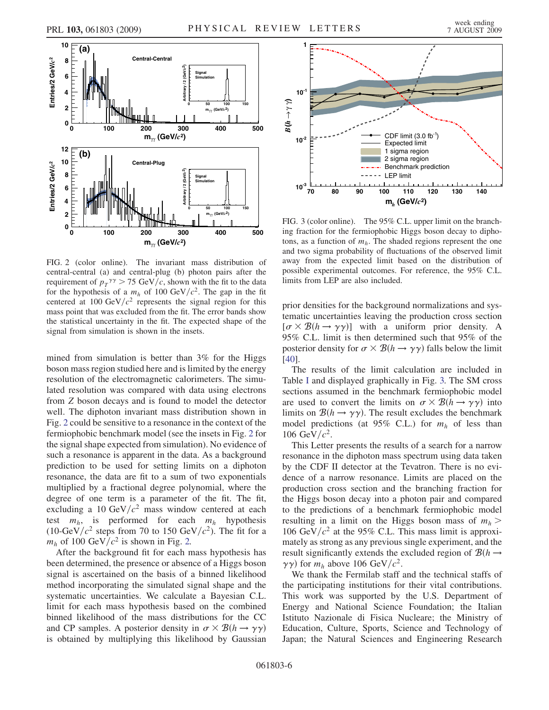<span id="page-8-0"></span>

FIG. 2 (color online). The invariant mass distribution of central-central (a) and central-plug (b) photon pairs after the requirement of  $p_T^{\gamma\gamma} > 75 \text{ GeV}/c$ , shown with the fit to the data for the hypothesis of a  $m_h$  of 100 GeV/ $c^2$ . The gap in the fit centered at 100 GeV/ $c^2$  represents the signal region for this mass point that was excluded from the fit. The error bands show the statistical uncertainty in the fit. The expected shape of the signal from simulation is shown in the insets.

mined from simulation is better than 3% for the Higgs boson mass region studied here and is limited by the energy resolution of the electromagnetic calorimeters. The simulated resolution was compared with data using electrons from Z boson decays and is found to model the detector well. The diphoton invariant mass distribution shown in Fig. [2](#page-8-0) could be sensitive to a resonance in the context of the fermiophobic benchmark model (see the insets in Fig. [2](#page-8-0) for the signal shape expected from simulation). No evidence of such a resonance is apparent in the data. As a background prediction to be used for setting limits on a diphoton resonance, the data are fit to a sum of two exponentials multiplied by a fractional degree polynomial, where the degree of one term is a parameter of the fit. The fit, excluding a 10 GeV/ $c^2$  mass window centered at each test  $m_h$ , is performed for each  $m_h$  hypothesis (10-GeV/ $c^2$  steps from 70 to 150 GeV/ $c^2$ ). The fit for a  $m_h$  of 100 GeV/ $c^2$  is shown in Fig. [2.](#page-8-0)

After the background fit for each mass hypothesis has been determined, the presence or absence of a Higgs boson signal is ascertained on the basis of a binned likelihood method incorporating the simulated signal shape and the systematic uncertainties. We calculate a Bayesian C.L. limit for each mass hypothesis based on the combined binned likelihood of the mass distributions for the CC and CP samples. A posterior density in  $\sigma \times \mathcal{B}(h \to \gamma \gamma)$ is obtained by multiplying this likelihood by Gaussian

<span id="page-8-1"></span>

FIG. 3 (color online). The 95% C.L. upper limit on the branching fraction for the fermiophobic Higgs boson decay to diphotons, as a function of  $m_h$ . The shaded regions represent the one and two sigma probability of fluctuations of the observed limit away from the expected limit based on the distribution of possible experimental outcomes. For reference, the 95% C.L. limits from LEP are also included.

prior densities for the background normalizations and systematic uncertainties leaving the production cross section  $[\sigma \times \mathcal{B}(h \to \gamma \gamma)]$  with a uniform prior density. A 95% C.L. limit is then determined such that 95% of the posterior density for  $\sigma \times \mathcal{B}(h \to \gamma \gamma)$  falls below the limit [\[40\]](#page-10-9).

The results of the limit calculation are included in Table [I](#page-7-0) and displayed graphically in Fig. [3.](#page-8-1) The SM cross sections assumed in the benchmark fermiophobic model are used to convert the limits on  $\sigma \times \mathcal{B}(h \to \gamma \gamma)$  into limits on  $\mathcal{B}(h \to \gamma \gamma)$ . The result excludes the benchmark model predictions (at 95% C.L.) for  $m_h$  of less than 106 GeV/ $c^2$ .

This Letter presents the results of a search for a narrow resonance in the diphoton mass spectrum using data taken by the CDF II detector at the Tevatron. There is no evidence of a narrow resonance. Limits are placed on the production cross section and the branching fraction for the Higgs boson decay into a photon pair and compared to the predictions of a benchmark fermiophobic model resulting in a limit on the Higgs boson mass of  $m_h$  > 106 GeV/ $c^2$  at the 95% C.L. This mass limit is approximately as strong as any previous single experiment, and the result significantly extends the excluded region of  $\mathcal{B}(h \rightarrow$  $\gamma\gamma$ ) for  $m_h$  above 106 GeV/ $c^2$ .

We thank the Fermilab staff and the technical staffs of the participating institutions for their vital contributions. This work was supported by the U.S. Department of Energy and National Science Foundation; the Italian Istituto Nazionale di Fisica Nucleare; the Ministry of Education, Culture, Sports, Science and Technology of Japan; the Natural Sciences and Engineering Research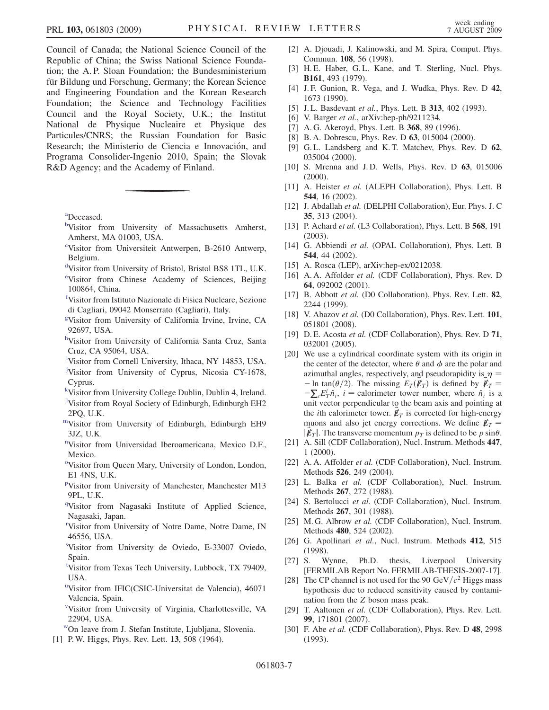Council of Canada; the National Science Council of the Republic of China; the Swiss National Science Foundation; the A. P. Sloan Foundation; the Bundesministerium für Bildung und Forschung, Germany; the Korean Science and Engineering Foundation and the Korean Research Foundation; the Science and Technology Facilities Council and the Royal Society, U.K.; the Institut National de Physique Nucleaire et Physique des Particules/CNRS; the Russian Foundation for Basic Research; the Ministerio de Ciencia e Innovación, and Programa Consolider-Ingenio 2010, Spain; the Slovak R&D Agency; and the Academy of Finland.

<span id="page-9-13"></span><span id="page-9-1"></span>[a](#page-4-0) Deceased.

- <span id="page-9-18"></span>[b](#page-3-0)Visitor from University of Massachusetts Amherst, Amherst, MA 01003, USA.
- <span id="page-9-6"></span>[c](#page-4-1) Visitor from Universiteit Antwerpen, B-2610 Antwerp, Belgium.
- <span id="page-9-20"></span>[d](#page-3-1) Visitor from University of Bristol, Bristol BS8 1TL, U.K.
- <span id="page-9-9"></span>[e](#page-4-2) Visitor from Chinese Academy of Sciences, Beijing 100864, China.
- <span id="page-9-16"></span>[f](#page-3-2) Visitor from Istituto Nazionale di Fisica Nucleare, Sezione di Cagliari, 09042 Monserrato (Cagliari), Italy.
- <span id="page-9-12"></span>[g](#page-4-3) Visitor from University of California Irvine, Irvine, CA 92697, USA.
- <span id="page-9-17"></span>[h](#page-4-4)Visitor from University of California Santa Cruz, Santa Cruz, CA 95064, USA.
- <span id="page-9-14"></span>[i](#page-4-5) Visitor from Cornell University, Ithaca, NY 14853, USA.
- <span id="page-9-11"></span><sup>[j](#page-4-6)</sup>Visitor from University of Cyprus, Nicosia CY-1678, Cyprus.
- <span id="page-9-2"></span>[k](#page-3-3) Visitor from University College Dublin, Dublin 4, Ireland. [l](#page-3-4) Visitor from Royal Society of Edinburgh, Edinburgh EH2 2PQ, U.K.
- <span id="page-9-10"></span><span id="page-9-4"></span>[mV](#page-3-5)isitor from University of Edinburgh, Edinburgh EH9 3JZ, U.K.
- <span id="page-9-5"></span>[n](#page-3-6) Visitor from Universidad Iberoamericana, Mexico D.F., Mexico.
- <span id="page-9-19"></span><sup>[o](#page-3-7)</sup>Visitor from Queen Mary, University of London, London, E1 4NS, U.K.
- <span id="page-9-15"></span>[p](#page-4-7) Visitor from University of Manchester, Manchester M13 9PL, U.K.
- <span id="page-9-7"></span><sup>[q](#page-4-8)</sup>Visitor from Nagasaki Institute of Applied Science, Nagasaki, Japan.
- <span id="page-9-0"></span>[r](#page-3-8) Visitor from University of Notre Dame, Notre Dame, IN 46556, USA.
- [s](#page-3-9) Visitor from University de Oviedo, E-33007 Oviedo, Spain.
- <span id="page-9-8"></span>t Visitor from Texas Tech University, Lubbock, TX 79409, USA.
- <span id="page-9-3"></span>[u](#page-3-10) Visitor from IFIC(CSIC-Universitat de Valencia), 46071 Valencia, Spain.
- [v](#page-3-9) Visitor from University of Virginia, Charlottesville, VA 22904, USA.
- wOn leave from J. Stefan Institute, Ljubljana, Slovenia.
- <span id="page-9-21"></span>[1] P. W. Higgs, Phys. Rev. Lett. **13**, 508 (1964).
- <span id="page-9-22"></span>[2] A. Djouadi, J. Kalinowski, and M. Spira, Comput. Phys. Commun. 108, 56 (1998).
- <span id="page-9-23"></span>[3] H. E. Haber, G. L. Kane, and T. Sterling, Nucl. Phys. B161, 493 (1979).
- [4] J. F. Gunion, R. Vega, and J. Wudka, Phys. Rev. D 42, 1673 (1990).
- [5] J. L. Basdevant et al., Phys. Lett. B 313, 402 (1993).
- [6] V. Barger et al., arXiv:hep-ph/9211234.
- <span id="page-9-24"></span>[7] A. G. Akeroyd, Phys. Lett. B 368, 89 (1996).
- <span id="page-9-25"></span>[8] B. A. Dobrescu, Phys. Rev. D 63, 015004 (2000).
- [9] G.L. Landsberg and K.T. Matchev, Phys. Rev. D 62, 035004 (2000).
- <span id="page-9-26"></span>[10] S. Mrenna and J.D. Wells, Phys. Rev. D 63, 015006 (2000).
- <span id="page-9-27"></span>[11] A. Heister et al. (ALEPH Collaboration), Phys. Lett. B 544, 16 (2002).
- [12] J. Abdallah et al. (DELPHI Collaboration), Eur. Phys. J. C 35, 313 (2004).
- [13] P. Achard et al. (L3 Collaboration), Phys. Lett. B 568, 191 (2003).
- <span id="page-9-28"></span>[14] G. Abbiendi et al. (OPAL Collaboration), Phys. Lett. B 544, 44 (2002).
- <span id="page-9-29"></span>[15] A. Rosca (LEP), arXiv:hep-ex/0212038.
- <span id="page-9-30"></span>[16] A. A. Affolder et al. (CDF Collaboration), Phys. Rev. D 64, 092002 (2001).
- <span id="page-9-31"></span>[17] B. Abbott et al. (D0 Collaboration), Phys. Rev. Lett. 82, 2244 (1999).
- <span id="page-9-32"></span>[18] V. Abazov et al. (D0 Collaboration), Phys. Rev. Lett. 101, 051801 (2008).
- <span id="page-9-33"></span>[19] D. E. Acosta et al. (CDF Collaboration), Phys. Rev. D 71, 032001 (2005).
- <span id="page-9-34"></span>[20] We use a cylindrical coordinate system with its origin in the center of the detector, where  $\theta$  and  $\phi$  are the polar and azimuthal angles, respectively, and pseudorapidity is  $\eta$  =  $-\ln \tan(\theta/2)$ . The missing  $E_T(\vec{\mathbf{\ell}}_T)$  is defined by  $\vec{\mathbf{\ell}}_T =$  $-\sum_i E_i^i \hat{n}_i$ , *i* = calorimeter tower number, where  $\hat{n}_i$  is a unit vector perpendicular to the beam axis and pointing at the *i*th calorimeter tower.  $\vec{\mathbf{F}}_T$  is corrected for high-energy muons and also jet energy corrections. We define  $E_T =$  $|\vec{\textbf{\textit{E}}}_T|$ . The transverse momentum  $p_T$  is defined to be  $p \sin\theta$ .
- <span id="page-9-35"></span>[21] A. Sill (CDF Collaboration), Nucl. Instrum. Methods 447, 1 (2000).
- <span id="page-9-36"></span>[22] A. A. Affolder et al. (CDF Collaboration), Nucl. Instrum. Methods 526, 249 (2004).
- <span id="page-9-37"></span>[23] L. Balka et al. (CDF Collaboration), Nucl. Instrum. Methods 267, 272 (1988).
- [24] S. Bertolucci et al. (CDF Collaboration), Nucl. Instrum. Methods 267, 301 (1988).
- <span id="page-9-38"></span>[25] M. G. Albrow et al. (CDF Collaboration), Nucl. Instrum. Methods 480, 524 (2002).
- <span id="page-9-39"></span>[26] G. Apollinari et al., Nucl. Instrum. Methods 412, 515 (1998).
- <span id="page-9-40"></span>[27] S. Wynne, Ph.D. thesis, Liverpool University [FERMILAB Report No. FERMILAB-THESIS-2007-17].
- <span id="page-9-41"></span>[28] The CP channel is not used for the 90 GeV/ $c^2$  Higgs mass hypothesis due to reduced sensitivity caused by contamination from the Z boson mass peak.
- <span id="page-9-42"></span>[29] T. Aaltonen et al. (CDF Collaboration), Phys. Rev. Lett. 99, 171801 (2007).
- <span id="page-9-43"></span>[30] F. Abe et al. (CDF Collaboration), Phys. Rev. D 48, 2998 (1993).